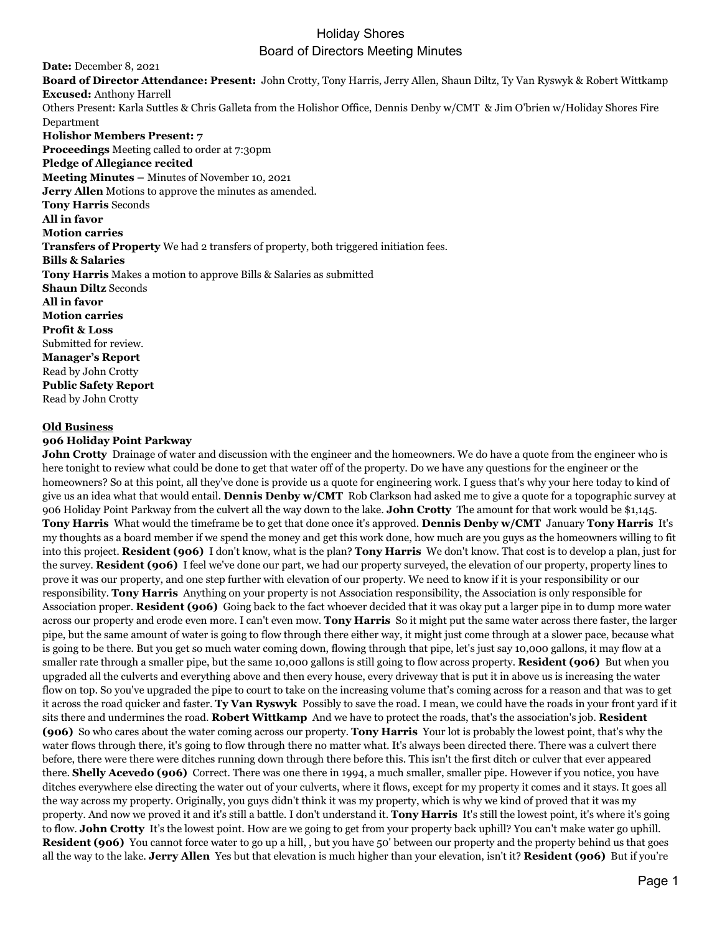# Holiday Shores Board of Directors Meeting Minutes

**Date:** December 8, 2021 **Board of Director Attendance: Present:** John Crotty, Tony Harris, Jerry Allen, Shaun Diltz, Ty Van Ryswyk & Robert Wittkamp **Excused:** Anthony Harrell Others Present: Karla Suttles & Chris Galleta from the Holishor Office, Dennis Denby w/CMT & Jim O'brien w/Holiday Shores Fire Department **Holishor Members Present: 7 Proceedings** Meeting called to order at 7:30pm **Pledge of Allegiance recited Meeting Minutes –** Minutes of November 10, 2021 **Jerry Allen** Motions to approve the minutes as amended. **Tony Harris** Seconds **All in favor Motion carries Transfers of Property** We had 2 transfers of property, both triggered initiation fees. **Bills & Salaries Tony Harris** Makes a motion to approve Bills & Salaries as submitted **Shaun Diltz** Seconds **All in favor Motion carries Profit & Loss** Submitted for review. **Manager's Report** Read by John Crotty **Public Safety Report** Read by John Crotty

### **Old Business**

### **906 Holiday Point Parkway**

**John Crotty** Drainage of water and discussion with the engineer and the homeowners. We do have a quote from the engineer who is here tonight to review what could be done to get that water off of the property. Do we have any questions for the engineer or the homeowners? So at this point, all they've done is provide us a quote for engineering work. I guess that's why your here today to kind of give us an idea what that would entail. **Dennis Denby w/CMT** Rob Clarkson had asked me to give a quote for a topographic survey at 906 Holiday Point Parkway from the culvert all the way down to the lake. **John Crotty** The amount for that work would be \$1,145. **Tony Harris** What would the timeframe be to get that done once it's approved. **Dennis Denby w/CMT** January **Tony Harris** It's my thoughts as a board member if we spend the money and get this work done, how much are you guys as the homeowners willing to fit into this project. **Resident (906)** I don't know, what is the plan? **Tony Harris** We don't know. That cost is to develop a plan, just for the survey. **Resident (906)** I feel we've done our part, we had our property surveyed, the elevation of our property, property lines to prove it was our property, and one step further with elevation of our property. We need to know if it is your responsibility or our responsibility. **Tony Harris** Anything on your property is not Association responsibility, the Association is only responsible for Association proper. **Resident (906)** Going back to the fact whoever decided that it was okay put a larger pipe in to dump more water across our property and erode even more. I can't even mow. **Tony Harris** So it might put the same water across there faster, the larger pipe, but the same amount of water is going to flow through there either way, it might just come through at a slower pace, because what is going to be there. But you get so much water coming down, flowing through that pipe, let's just say 10,000 gallons, it may flow at a smaller rate through a smaller pipe, but the same 10,000 gallons is still going to flow across property. **Resident (906)** But when you upgraded all the culverts and everything above and then every house, every driveway that is put it in above us is increasing the water flow on top. So you've upgraded the pipe to court to take on the increasing volume that's coming across for a reason and that was to get it across the road quicker and faster. **Ty Van Ryswyk** Possibly to save the road. I mean, we could have the roads in your front yard if it sits there and undermines the road. **Robert Wittkamp** And we have to protect the roads, that's the association's job. **Resident (906)** So who cares about the water coming across our property. **Tony Harris** Your lot is probably the lowest point, that's why the water flows through there, it's going to flow through there no matter what. It's always been directed there. There was a culvert there before, there were there were ditches running down through there before this. This isn't the first ditch or culver that ever appeared there. **Shelly Acevedo (906)** Correct. There was one there in 1994, a much smaller, smaller pipe. However if you notice, you have ditches everywhere else directing the water out of your culverts, where it flows, except for my property it comes and it stays. It goes all the way across my property. Originally, you guys didn't think it was my property, which is why we kind of proved that it was my property. And now we proved it and it's still a battle. I don't understand it. **Tony Harris** It's still the lowest point, it's where it's going to flow. **John Crotty** It's the lowest point. How are we going to get from your property back uphill? You can't make water go uphill. **Resident (906)** You cannot force water to go up a hill, , but you have 50' between our property and the property behind us that goes all the way to the lake. **Jerry Allen** Yes but that elevation is much higher than your elevation, isn't it? **Resident (906)** But if you're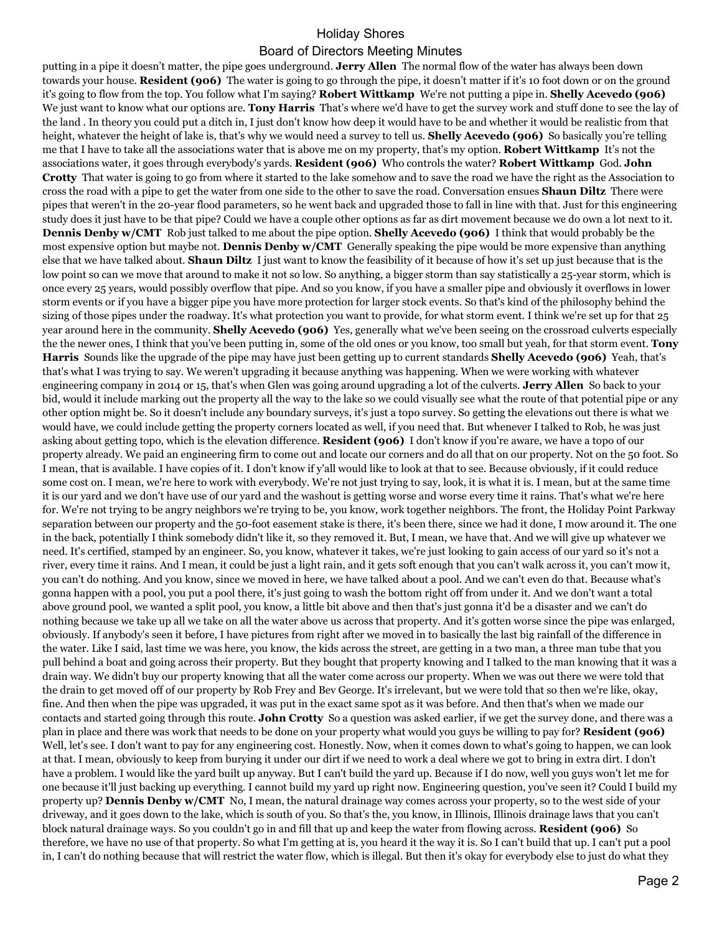# Holiday Shores

## Board of Directors Meeting Minutes

putting in a pipe it doesn't matter, the pipe goes underground. **Jerry Allen** The normal flow of the water has always been down towards your house. **Resident (906)** The water is going to go through the pipe, it doesn't matter if it's 10 foot down or on the ground it's going to flow from the top. You follow what I'm saying? **Robert Wittkamp** We're not putting a pipe in. **Shelly Acevedo (906)**  We just want to know what our options are. **Tony Harris** That's where we'd have to get the survey work and stuff done to see the lay of the land . In theory you could put a ditch in, I just don't know how deep it would have to be and whether it would be realistic from that height, whatever the height of lake is, that's why we would need a survey to tell us. **Shelly Acevedo (906)** So basically you're telling me that I have to take all the associations water that is above me on my property, that's my option. **Robert Wittkamp** It's not the associations water, it goes through everybody's yards. **Resident (906)** Who controls the water? **Robert Wittkamp** God. **John Crotty** That water is going to go from where it started to the lake somehow and to save the road we have the right as the Association to cross the road with a pipe to get the water from one side to the other to save the road. Conversation ensues **Shaun Diltz** There were pipes that weren't in the 20-year flood parameters, so he went back and upgraded those to fall in line with that. Just for this engineering study does it just have to be that pipe? Could we have a couple other options as far as dirt movement because we do own a lot next to it. **Dennis Denby w/CMT** Rob just talked to me about the pipe option. **Shelly Acevedo (906)** I think that would probably be the most expensive option but maybe not. **Dennis Denby w/CMT** Generally speaking the pipe would be more expensive than anything else that we have talked about. **Shaun Diltz** I just want to know the feasibility of it because of how it's set up just because that is the low point so can we move that around to make it not so low. So anything, a bigger storm than say statistically a 25-year storm, which is once every 25 years, would possibly overflow that pipe. And so you know, if you have a smaller pipe and obviously it overflows in lower storm events or if you have a bigger pipe you have more protection for larger stock events. So that's kind of the philosophy behind the sizing of those pipes under the roadway. It's what protection you want to provide, for what storm event. I think we're set up for that 25 year around here in the community. **Shelly Acevedo (906)** Yes, generally what we've been seeing on the crossroad culverts especially the the newer ones, I think that you've been putting in, some of the old ones or you know, too small but yeah, for that storm event. **Tony Harris** Sounds like the upgrade of the pipe may have just been getting up to current standards **Shelly Acevedo (906)** Yeah, that's that's what I was trying to say. We weren't upgrading it because anything was happening. When we were working with whatever engineering company in 2014 or 15, that's when Glen was going around upgrading a lot of the culverts. **Jerry Allen** So back to your bid, would it include marking out the property all the way to the lake so we could visually see what the route of that potential pipe or any other option might be. So it doesn't include any boundary surveys, it's just a topo survey. So getting the elevations out there is what we would have, we could include getting the property corners located as well, if you need that. But whenever I talked to Rob, he was just asking about getting topo, which is the elevation difference. **Resident (906)** I don't know if you're aware, we have a topo of our property already. We paid an engineering firm to come out and locate our corners and do all that on our property. Not on the 50 foot. So I mean, that is available. I have copies of it. I don't know if y'all would like to look at that to see. Because obviously, if it could reduce some cost on. I mean, we're here to work with everybody. We're not just trying to say, look, it is what it is. I mean, but at the same time it is our yard and we don't have use of our yard and the washout is getting worse and worse every time it rains. That's what we're here for. We're not trying to be angry neighbors we're trying to be, you know, work together neighbors. The front, the Holiday Point Parkway separation between our property and the 50-foot easement stake is there, it's been there, since we had it done, I mow around it. The one in the back, potentially I think somebody didn't like it, so they removed it. But, I mean, we have that. And we will give up whatever we need. It's certified, stamped by an engineer. So, you know, whatever it takes, we're just looking to gain access of our yard so it's not a river, every time it rains. And I mean, it could be just a light rain, and it gets soft enough that you can't walk across it, you can't mow it, you can't do nothing. And you know, since we moved in here, we have talked about a pool. And we can't even do that. Because what's gonna happen with a pool, you put a pool there, it's just going to wash the bottom right off from under it. And we don't want a total above ground pool, we wanted a split pool, you know, a little bit above and then that's just gonna it'd be a disaster and we can't do nothing because we take up all we take on all the water above us across that property. And it's gotten worse since the pipe was enlarged, obviously. If anybody's seen it before, I have pictures from right after we moved in to basically the last big rainfall of the difference in the water. Like I said, last time we was here, you know, the kids across the street, are getting in a two man, a three man tube that you pull behind a boat and going across their property. But they bought that property knowing and I talked to the man knowing that it was a drain way. We didn't buy our property knowing that all the water come across our property. When we was out there we were told that the drain to get moved off of our property by Rob Frey and Bev George. It's irrelevant, but we were told that so then we're like, okay, fine. And then when the pipe was upgraded, it was put in the exact same spot as it was before. And then that's when we made our contacts and started going through this route. **John Crotty** So a question was asked earlier, if we get the survey done, and there was a plan in place and there was work that needs to be done on your property what would you guys be willing to pay for? **Resident (906)**  Well, let's see. I don't want to pay for any engineering cost. Honestly. Now, when it comes down to what's going to happen, we can look at that. I mean, obviously to keep from burying it under our dirt if we need to work a deal where we got to bring in extra dirt. I don't have a problem. I would like the yard built up anyway. But I can't build the yard up. Because if I do now, well you guys won't let me for one because it'll just backing up everything. I cannot build my yard up right now. Engineering question, you've seen it? Could I build my property up? **Dennis Denby w/CMT** No, I mean, the natural drainage way comes across your property, so to the west side of your driveway, and it goes down to the lake, which is south of you. So that's the, you know, in Illinois, Illinois drainage laws that you can't block natural drainage ways. So you couldn't go in and fill that up and keep the water from flowing across. **Resident (906)** So therefore, we have no use of that property. So what I'm getting at is, you heard it the way it is. So I can't build that up. I can't put a pool in, I can't do nothing because that will restrict the water flow, which is illegal. But then it's okay for everybody else to just do what they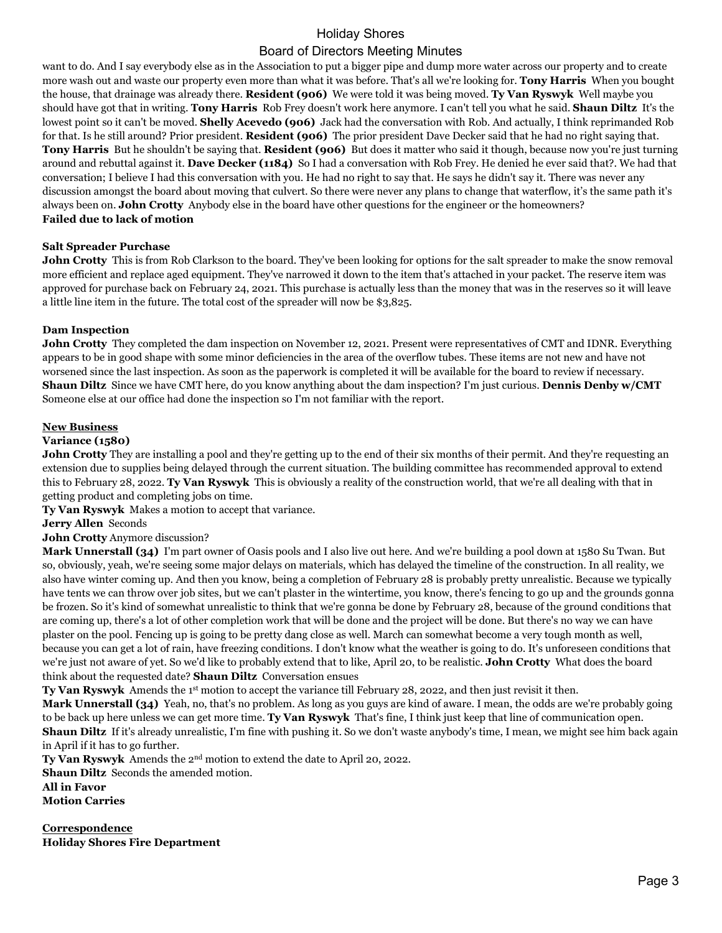# Holiday Shores

# Board of Directors Meeting Minutes

want to do. And I say everybody else as in the Association to put a bigger pipe and dump more water across our property and to create more wash out and waste our property even more than what it was before. That's all we're looking for. **Tony Harris** When you bought the house, that drainage was already there. **Resident (906)** We were told it was being moved. **Ty Van Ryswyk** Well maybe you should have got that in writing. **Tony Harris** Rob Frey doesn't work here anymore. I can't tell you what he said. **Shaun Diltz** It's the lowest point so it can't be moved. **Shelly Acevedo (906)** Jack had the conversation with Rob. And actually, I think reprimanded Rob for that. Is he still around? Prior president. **Resident (906)** The prior president Dave Decker said that he had no right saying that. **Tony Harris** But he shouldn't be saying that. **Resident (906)** But does it matter who said it though, because now you're just turning around and rebuttal against it. **Dave Decker (1184)** So I had a conversation with Rob Frey. He denied he ever said that?. We had that conversation; I believe I had this conversation with you. He had no right to say that. He says he didn't say it. There was never any discussion amongst the board about moving that culvert. So there were never any plans to change that waterflow, it's the same path it's always been on. **John Crotty** Anybody else in the board have other questions for the engineer or the homeowners? **Failed due to lack of motion**

### **Salt Spreader Purchase**

**John Crotty** This is from Rob Clarkson to the board. They've been looking for options for the salt spreader to make the snow removal more efficient and replace aged equipment. They've narrowed it down to the item that's attached in your packet. The reserve item was approved for purchase back on February 24, 2021. This purchase is actually less than the money that was in the reserves so it will leave a little line item in the future. The total cost of the spreader will now be \$3,825.

### **Dam Inspection**

**John Crotty** They completed the dam inspection on November 12, 2021. Present were representatives of CMT and IDNR. Everything appears to be in good shape with some minor deficiencies in the area of the overflow tubes. These items are not new and have not worsened since the last inspection. As soon as the paperwork is completed it will be available for the board to review if necessary. **Shaun Diltz** Since we have CMT here, do you know anything about the dam inspection? I'm just curious. **Dennis Denby w/CMT**  Someone else at our office had done the inspection so I'm not familiar with the report.

### **New Business**

### **Variance (1580)**

**John Crotty** They are installing a pool and they're getting up to the end of their six months of their permit. And they're requesting an extension due to supplies being delayed through the current situation. The building committee has recommended approval to extend this to February 28, 2022. **Ty Van Ryswyk** This is obviously a reality of the construction world, that we're all dealing with that in getting product and completing jobs on time.

**Ty Van Ryswyk** Makes a motion to accept that variance.

**Jerry Allen** Seconds

### **John Crotty** Anymore discussion?

**Mark Unnerstall (34)** I'm part owner of Oasis pools and I also live out here. And we're building a pool down at 1580 Su Twan. But so, obviously, yeah, we're seeing some major delays on materials, which has delayed the timeline of the construction. In all reality, we also have winter coming up. And then you know, being a completion of February 28 is probably pretty unrealistic. Because we typically have tents we can throw over job sites, but we can't plaster in the wintertime, you know, there's fencing to go up and the grounds gonna be frozen. So it's kind of somewhat unrealistic to think that we're gonna be done by February 28, because of the ground conditions that are coming up, there's a lot of other completion work that will be done and the project will be done. But there's no way we can have plaster on the pool. Fencing up is going to be pretty dang close as well. March can somewhat become a very tough month as well, because you can get a lot of rain, have freezing conditions. I don't know what the weather is going to do. It's unforeseen conditions that we're just not aware of yet. So we'd like to probably extend that to like, April 20, to be realistic. **John Crotty** What does the board think about the requested date? **Shaun Diltz** Conversation ensues

**Ty Van Ryswyk** Amends the 1st motion to accept the variance till February 28, 2022, and then just revisit it then.

**Mark Unnerstall (34)** Yeah, no, that's no problem. As long as you guys are kind of aware. I mean, the odds are we're probably going to be back up here unless we can get more time. **Ty Van Ryswyk** That's fine, I think just keep that line of communication open. **Shaun Diltz** If it's already unrealistic, I'm fine with pushing it. So we don't waste anybody's time, I mean, we might see him back again in April if it has to go further.

**Ty Van Ryswyk** Amends the 2nd motion to extend the date to April 20, 2022.

**Shaun Diltz** Seconds the amended motion.

**All in Favor**

**Motion Carries**

**Correspondence Holiday Shores Fire Department**